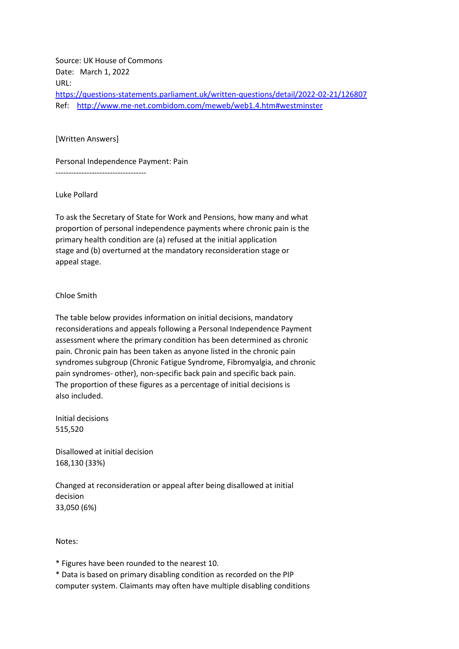Source: UK House of Commons Date: March 1, 2022 URL: <https://questions-statements.parliament.uk/written-questions/detail/2022-02-21/126807> Ref: <http://www.me-net.combidom.com/meweb/web1.4.htm#westminster>

## [Written Answers]

Personal Independence Payment: Pain

-----------------------------------

Luke Pollard

To ask the Secretary of State for Work and Pensions, how many and what proportion of personal independence payments where chronic pain is the primary health condition are (a) refused at the initial application stage and (b) overturned at the mandatory reconsideration stage or appeal stage.

## Chloe Smith

The table below provides information on initial decisions, mandatory reconsiderations and appeals following a Personal Independence Payment assessment where the primary condition has been determined as chronic pain. Chronic pain has been taken as anyone listed in the chronic pain syndromes subgroup (Chronic Fatigue Syndrome, Fibromyalgia, and chronic pain syndromes- other), non-specific back pain and specific back pain. The proportion of these figures as a percentage of initial decisions is also included.

Initial decisions 515,520

Disallowed at initial decision 168,130 (33%)

Changed at reconsideration or appeal after being disallowed at initial decision 33,050 (6%)

Notes:

\* Figures have been rounded to the nearest 10.

\* Data is based on primary disabling condition as recorded on the PIP computer system. Claimants may often have multiple disabling conditions